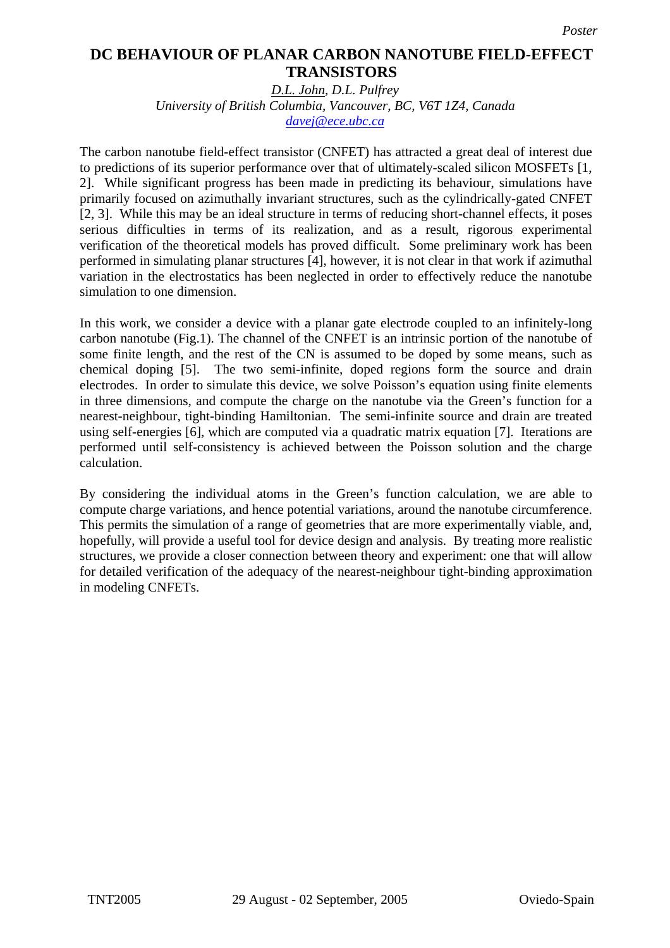## **DC Behaviour of Planar Carbon Nanotube Field-Effect Transistors TRANSISTORS DC BEHAVIOUR OF PLANAR CARBON NANOTUBE FIELD-EFFECT**

*D.L. John, D.L. Pulfrey University of British Columbia, Vancouver, BC, V6T 1Z4, Canada [davej@ece.ubc.ca](mailto:davej@ece.ubc.ca)*

The carbon nanotube field-effect transistor (CNFET) has attracted a great deal of interest due to predictions of its superior performance over that of ultimately-scaled silicon MOSFETs [1, 2]. While significant progress has been made in predicting its behaviour, simulations have primarily focused on azimuthally invariant structures, such as the cylindrically-gated CNFET [2, 3]. While this may be an ideal structure in terms of reducing short-channel effects, it poses serious difficulties in terms of its realization, and as a result, rigorous experimental verification of the theoretical models has proved difficult. Some preliminary work has been performed in simulating planar structures [4], however, it is not clear in that work if azimuthal variation in the electrostatics has been neglected in order to effectively reduce the nanotube simulation to one dimension.

In this work, we consider a device with a planar gate electrode coupled to an infinitely-long carbon nanotube (Fig.1). The channel of the CNFET is an intrinsic portion of the nanotube of some finite length, and the rest of the CN is assumed to be doped by some means, such as chemical doping [5]. The two semi-infinite, doped regions form the source and drain electrodes. In order to simulate this device, we solve Poisson's equation using finite elements in three dimensions, and compute the charge on the nanotube via the Green's function for a nearest-neighbour, tight-binding Hamiltonian. The semi-infinite source and drain are treated using self-energies [6], which are computed via a quadratic matrix equation [7]. Iterations are performed until self-consistency is achieved between the Poisson solution and the charge calculation.

By considering the individual atoms in the Green's function calculation, we are able to compute charge variations, and hence potential variations, around the nanotube circumference. This permits the simulation of a range of geometries that are more experimentally viable, and, hopefully, will provide a useful tool for device design and analysis. By treating more realistic structures, we provide a closer connection between theory and experiment: one that will allow for detailed verification of the adequacy of the nearest-neighbour tight-binding approximation in modeling CNFETs.